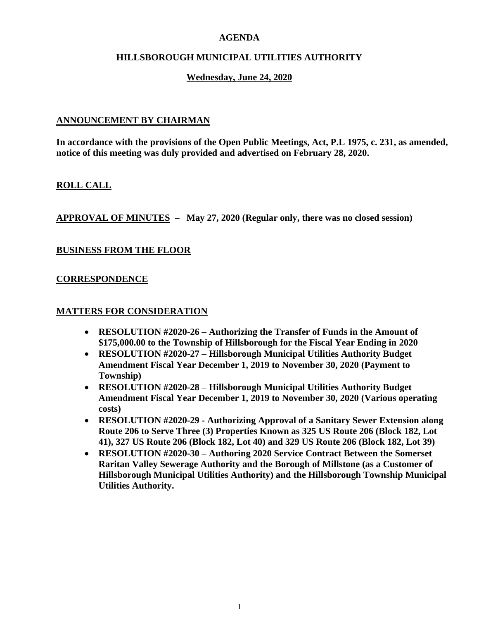## **AGENDA**

## **HILLSBOROUGH MUNICIPAL UTILITIES AUTHORITY**

## **Wednesday, June 24, 2020**

## **ANNOUNCEMENT BY CHAIRMAN**

**In accordance with the provisions of the Open Public Meetings, Act, P.L 1975, c. 231, as amended, notice of this meeting was duly provided and advertised on February 28, 2020.**

## **ROLL CALL**

**APPROVAL OF MINUTES – May 27, 2020 (Regular only, there was no closed session)**

### **BUSINESS FROM THE FLOOR**

### **CORRESPONDENCE**

#### **MATTERS FOR CONSIDERATION**

- **RESOLUTION #2020-26 – Authorizing the Transfer of Funds in the Amount of \$175,000.00 to the Township of Hillsborough for the Fiscal Year Ending in 2020**
- **RESOLUTION #2020-27 – Hillsborough Municipal Utilities Authority Budget Amendment Fiscal Year December 1, 2019 to November 30, 2020 (Payment to Township)**
- **RESOLUTION #2020-28 – Hillsborough Municipal Utilities Authority Budget Amendment Fiscal Year December 1, 2019 to November 30, 2020 (Various operating costs)**
- **RESOLUTION #2020-29 - Authorizing Approval of a Sanitary Sewer Extension along Route 206 to Serve Three (3) Properties Known as 325 US Route 206 (Block 182, Lot 41), 327 US Route 206 (Block 182, Lot 40) and 329 US Route 206 (Block 182, Lot 39)**
- **RESOLUTION #2020-30 – Authoring 2020 Service Contract Between the Somerset Raritan Valley Sewerage Authority and the Borough of Millstone (as a Customer of Hillsborough Municipal Utilities Authority) and the Hillsborough Township Municipal Utilities Authority.**